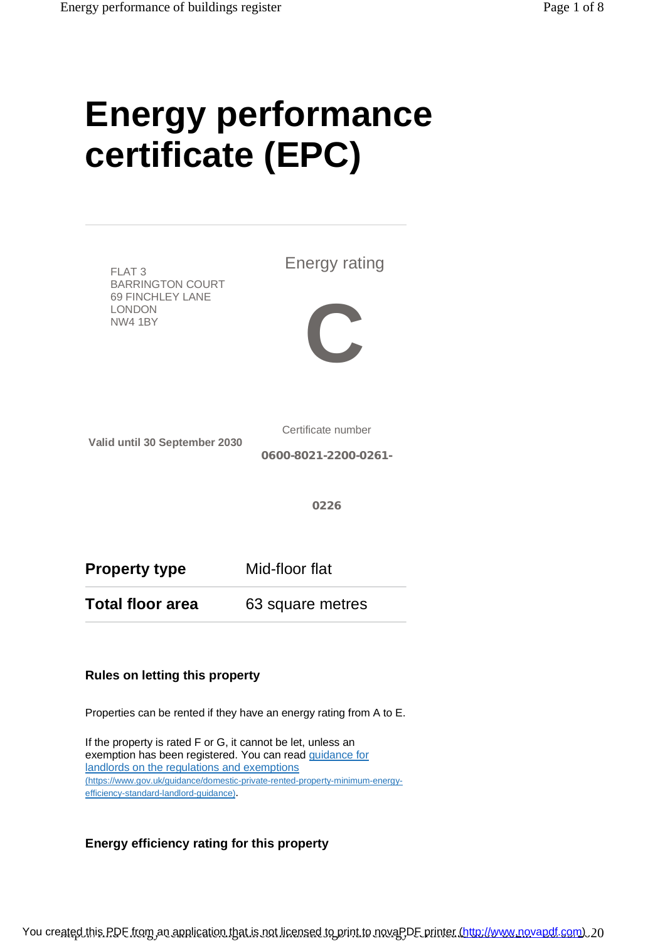# **Energy performance certificate (EPC)**



Properties can be rented if they have an energy rating from A to E.

If the property is rated F or G, it cannot be let, unless an exemption has been registered. You can read guidance for landlords on the regulations and exemptions ([https://www.gov.uk/guidance/domestic-private-rented-property-minimum-energy](https://www.gov.uk/guidance/domestic-private-rented-property-minimum-energy-)efficiency-standard-landlord-guidance).

### **Energy efficiency rating for this property**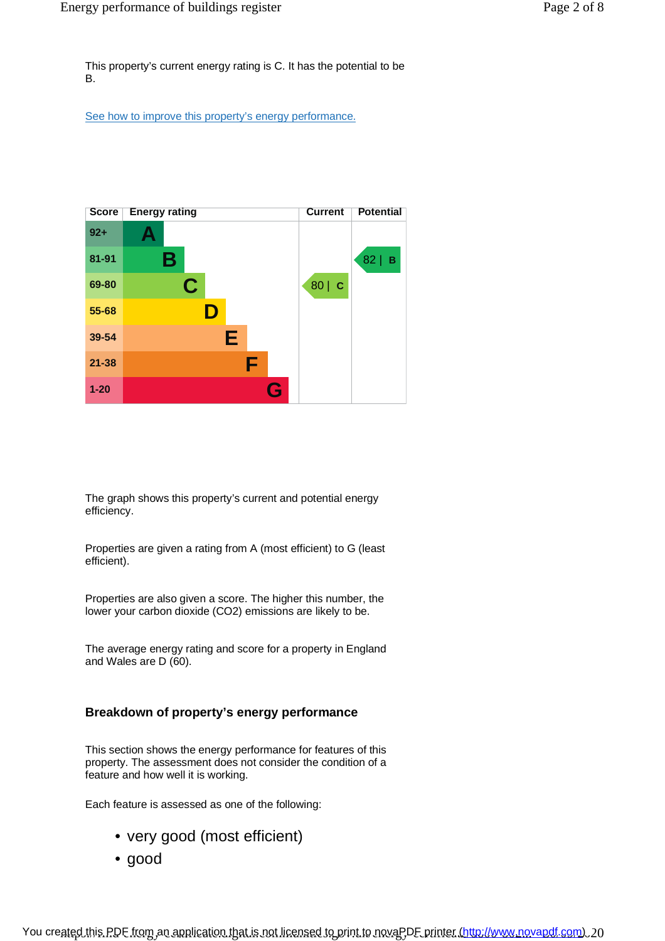This property's current energy rating is C. It has the potential to be B.

See how to improve this property's energy performance.



The graph shows this property's current and potential energy efficiency.

Properties are given a rating from A (most efficient) to G (least efficient).

Properties are also given a score. The higher this number, the lower your carbon dioxide (CO2) emissions are likely to be.

The average energy rating and score for a property in England and Wales are D (60).

#### **Breakdown of property's energy performance**

This section shows the energy performance for features of this property. The assessment does not consider the condition of a feature and how well it is working.

Each feature is assessed as one of the following:

- very good (most efficient)
- good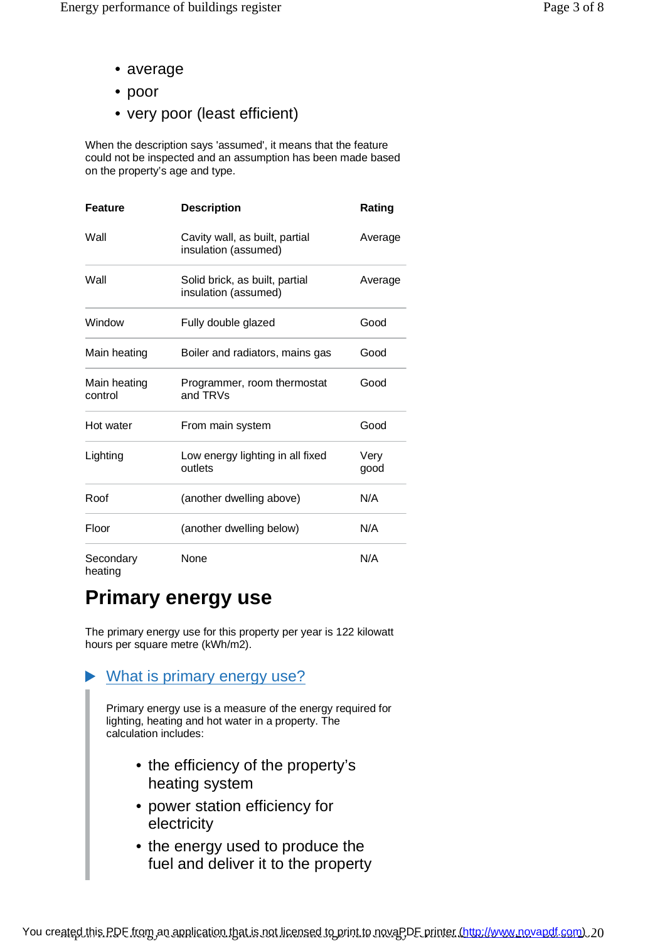- average
- poor
- very poor (least efficient)

When the description says 'assumed', it means that the feature could not be inspected and an assumption has been made based on the property's age and type.

| <b>Feature</b>          | <b>Description</b>                                     | Rating       |
|-------------------------|--------------------------------------------------------|--------------|
| Wall                    | Cavity wall, as built, partial<br>insulation (assumed) | Average      |
| Wall                    | Solid brick, as built, partial<br>insulation (assumed) | Average      |
| Window                  | Fully double glazed                                    | Good         |
| Main heating            | Boiler and radiators, mains gas                        | Good         |
| Main heating<br>control | Programmer, room thermostat<br>and TRVs                | Good         |
| Hot water               | From main system                                       | Good         |
| Lighting                | Low energy lighting in all fixed<br>outlets            | Very<br>good |
| Roof                    | (another dwelling above)                               | N/A          |
| Floor                   | (another dwelling below)                               | N/A          |
| Secondary<br>heating    | None                                                   | N/A          |

# **Primary energy use**

The primary energy use for this property per year is 122 kilowatt hours per square metre (kWh/m2).

### What is primary energy use?

Primary energy use is a measure of the energy required for lighting, heating and hot water in a property. The calculation includes:

- the efficiency of the property's heating system
- power station efficiency for electricity
- the energy used to produce the fuel and deliver it to the property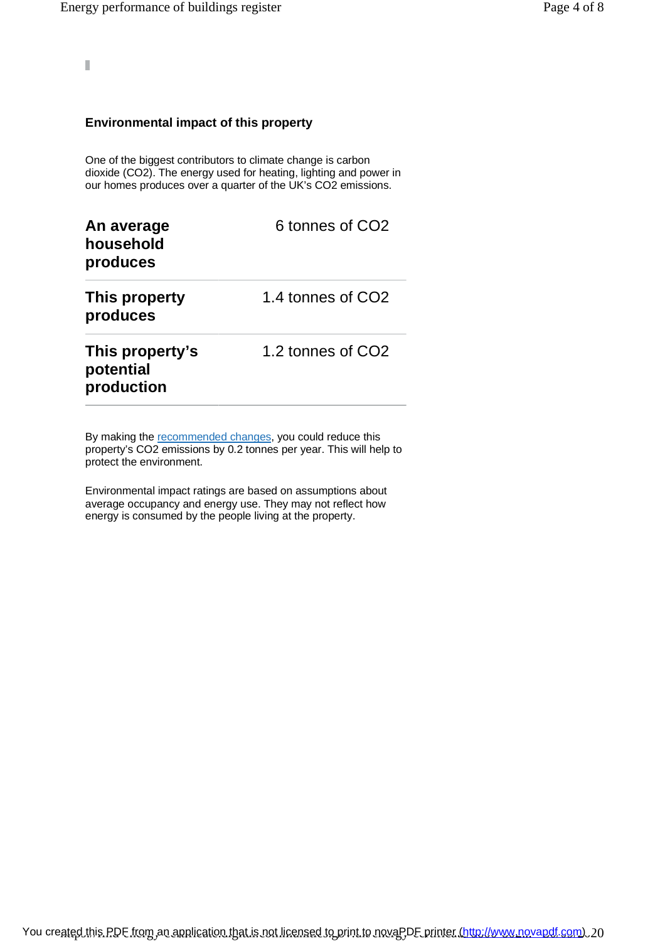Ī

#### **Environmental impact of this property**

One of the biggest contributors to climate change is carbon dioxide (CO2). The energy used for heating, lighting and power in our homes produces over a quarter of the UK's CO2 emissions.

| An average<br>household<br>produces        | 6 tonnes of CO <sub>2</sub> |
|--------------------------------------------|-----------------------------|
| This property<br>produces                  | 1.4 tonnes of CO2           |
| This property's<br>potential<br>production | 1.2 tonnes of CO2           |

By making the recommended changes, you could reduce this property's CO2 emissions by 0.2 tonnes per year. This will help to protect the environment.

Environmental impact ratings are based on assumptions about average occupancy and energy use. They may not reflect how energy is consumed by the people living at the property.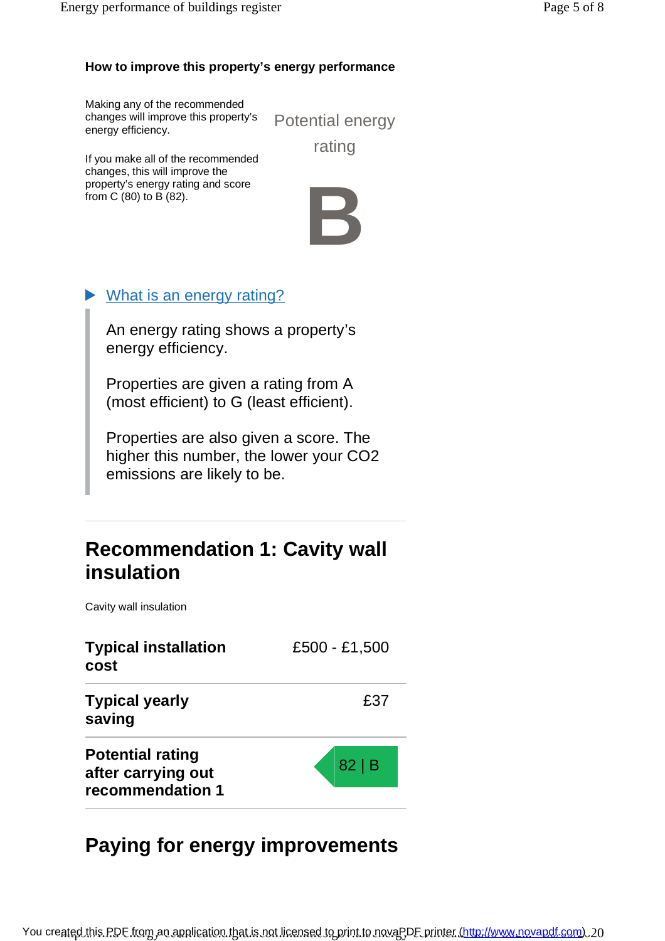### **How to improve this property's energy performance**

Making any of the recommended changes will improve this property's energy efficiency.

Potential energy rating

If you make all of the recommended changes, this will improve the property's energy rating and score from C (80) to B (82).



### What is an energy rating?

An energy rating shows a property's energy efficiency.

Properties are given a rating from A (most efficient) to G (least efficient).

Properties are also given a score. The higher this number, the lower your CO2 emissions are likely to be.

## **Recommendation 1: Cavity wall insulation**

Cavity wall insulation

| <b>Typical installation</b><br>cost                               | £500 - £1,500 |
|-------------------------------------------------------------------|---------------|
| <b>Typical yearly</b><br>saving                                   | £37           |
| <b>Potential rating</b><br>after carrying out<br>recommendation 1 | 82 B          |

# **Paying for energy improvements**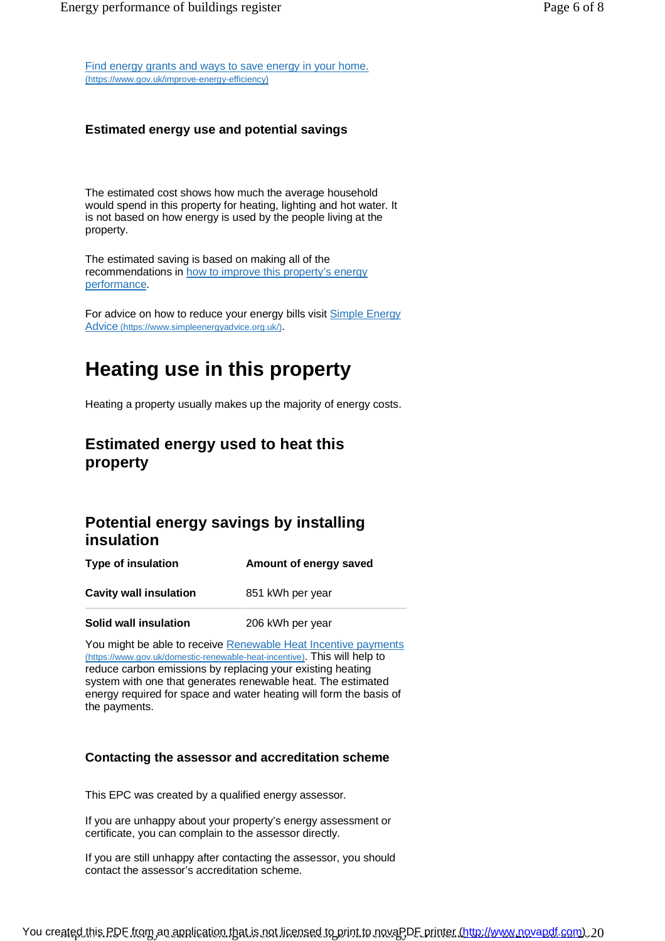Find energy grants and ways to save energy in your home. ([https://www.gov.uk/improve-energy-efficiency\)](https://www.gov.uk/improve-energy-efficiency))

#### **Estimated energy use and potential savings**

The estimated cost shows how much the average household would spend in this property for heating, lighting and hot water. It is not based on how energy is used by the people living at the property.

The estimated saving is based on making all of the recommendations in how to improve this property's energy performance.

For advice on how to reduce your energy bills visit Simple Energy Advice [\(https://www.simpleenergyadvice.org.uk/\)](https://www.simpleenergyadvice.org.uk/)).

# **Heating use in this property**

Heating a property usually makes up the majority of energy costs.

### **Estimated energy used to heat this property**

### **Potential energy savings by installing insulation**

**Type of insulation Amount of energy saved Cavity wall insulation** 851 kWh per year

**Solid wall insulation** 206 kWh per year

You might be able to receive Renewable Heat Incentive payments ([https://www.gov.uk/domestic-renewable-heat-incentive\)](https://www.gov.uk/domestic-renewable-heat-incentive)). This will help to reduce carbon emissions by replacing your existing heating system with one that generates renewable heat. The estimated energy required for space and water heating will form the basis of the payments.

#### **Contacting the assessor and accreditation scheme**

This EPC was created by a qualified energy assessor.

If you are unhappy about your property's energy assessment or certificate, you can complain to the assessor directly.

If you are still unhappy after contacting the assessor, you should contact the assessor's accreditation scheme.